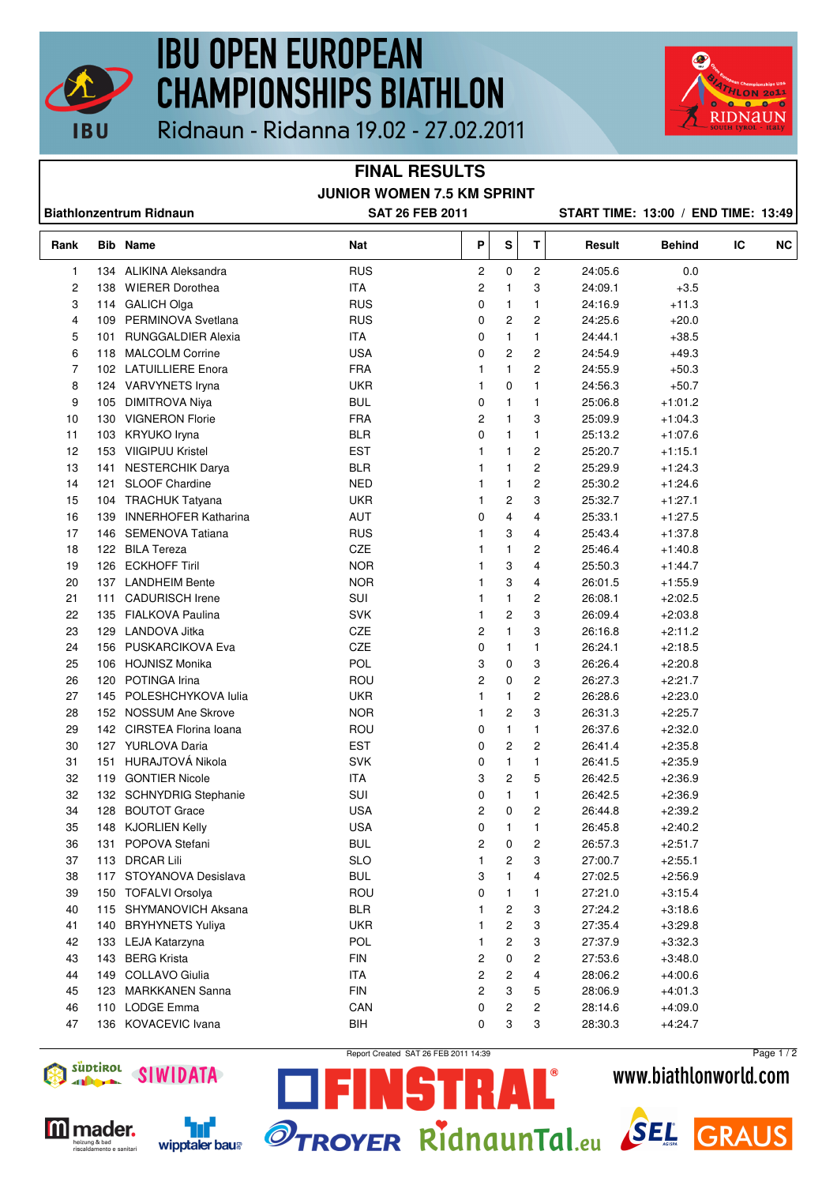

## **IBU OPEN EUROPEAN CHAMPIONSHIPS BIATHLON**



Ridnaun - Ridanna 19.02 - 27.02.2011

### **FINAL RESULTS JUNIOR WOMEN 7.5 KM SPRINT**

| <b>Biathlonzentrum Ridnaun</b> |     |                           | <b>SAT 26 FEB 2011</b>   |                |              |                         | START TIME: 13:00 / END TIME: 13:49 |                        |    |           |
|--------------------------------|-----|---------------------------|--------------------------|----------------|--------------|-------------------------|-------------------------------------|------------------------|----|-----------|
| Rank                           |     | <b>Bib Name</b>           | Nat                      | P              | S            | T                       | Result                              | Behind                 | IC | <b>NC</b> |
| $\mathbf{1}$                   |     | 134 ALIKINA Aleksandra    | <b>RUS</b>               | 2              | 0            | 2                       | 24:05.6                             | 0.0                    |    |           |
| 2                              |     | 138 WIERER Dorothea       | <b>ITA</b>               | 2              | 1            | 3                       | 24:09.1                             | $+3.5$                 |    |           |
| 3                              |     | 114 GALICH Olga           | <b>RUS</b>               | 0              | 1            | 1                       | 24:16.9                             | $+11.3$                |    |           |
| 4                              |     | 109 PERMINOVA Svetlana    | <b>RUS</b>               | 0              | 2            | 2                       | 24:25.6                             | $+20.0$                |    |           |
| 5                              |     | 101 RUNGGALDIER Alexia    | <b>ITA</b>               | 0              | 1            | $\mathbf{1}$            | 24:44.1                             | $+38.5$                |    |           |
| 6                              |     | 118 MALCOLM Corrine       | <b>USA</b>               | 0              | 2            | 2                       | 24:54.9                             | $+49.3$                |    |           |
| 7                              |     | 102 LATUILLIERE Enora     | <b>FRA</b>               | 1              | 1            | 2                       | 24:55.9                             | $+50.3$                |    |           |
| 8                              |     | 124 VARVYNETS Iryna       | <b>UKR</b>               | 1              | 0            | 1                       | 24:56.3                             | $+50.7$                |    |           |
| 9                              |     | 105 DIMITROVA Niya        | <b>BUL</b>               | 0              | 1            | $\mathbf{1}$            | 25:06.8                             | $+1:01.2$              |    |           |
| 10                             |     | 130 VIGNERON Florie       | <b>FRA</b>               | $\overline{c}$ | 1            | 3                       | 25:09.9                             | $+1:04.3$              |    |           |
| 11                             |     | 103 KRYUKO Iryna          | <b>BLR</b>               | 0              | 1            | $\mathbf{1}$            | 25:13.2                             | $+1:07.6$              |    |           |
| 12                             |     | 153 VIIGIPUU Kristel      | <b>EST</b>               | 1              | 1            | 2                       | 25:20.7                             | $+1:15.1$              |    |           |
| 13                             |     | 141 NESTERCHIK Darya      | <b>BLR</b>               | 1              | 1            | $\overline{\mathbf{c}}$ | 25:29.9                             | $+1:24.3$              |    |           |
| 14                             |     | 121 SLOOF Chardine        | <b>NED</b>               | 1              | $\mathbf{1}$ | $\overline{\mathbf{c}}$ | 25:30.2                             | $+1.24.6$              |    |           |
| 15                             |     | 104 TRACHUK Tatyana       | <b>UKR</b>               | 1              | 2            | 3                       | 25:32.7                             | $+1:27.1$              |    |           |
| 16                             |     | 139 INNERHOFER Katharina  | <b>AUT</b>               | 0              | 4            | 4                       | 25:33.1                             | $+1:27.5$              |    |           |
| 17                             |     | 146 SEMENOVA Tatiana      | <b>RUS</b>               | 1              | 3            | 4                       | 25:43.4                             | $+1.37.8$              |    |           |
| 18                             |     | 122 BILA Tereza           | CZE                      | 1              | 1            | 2                       | 25:46.4                             | $+1:40.8$              |    |           |
| 19                             |     | 126 ECKHOFF Tiril         | <b>NOR</b>               | 1              | 3            | 4                       | 25:50.3                             | $+1.44.7$              |    |           |
| 20                             |     | 137 LANDHEIM Bente        | <b>NOR</b>               | 1              | 3            | 4                       | 26:01.5                             | $+1.55.9$              |    |           |
| 21                             |     | 111 CADURISCH Irene       | SUI                      | 1              | 1            | 2                       | 26:08.1                             | $+2:02.5$              |    |           |
| 22                             |     | 135 FIALKOVA Paulina      | <b>SVK</b>               | 1              | 2            | 3                       | 26:09.4                             | $+2:03.8$              |    |           |
| 23                             |     | 129 LANDOVA Jitka         | CZE                      | 2              | 1            | 3                       | 26:16.8                             | $+2:11.2$              |    |           |
| 24                             |     | 156 PUSKARCIKOVA Eva      | CZE                      | 0              | 1            | 1                       | 26:24.1                             | $+2:18.5$              |    |           |
| 25                             |     | 106 HOJNISZ Monika        | POL                      | 3              | 0            | 3                       | 26:26.4                             | $+2:20.8$              |    |           |
| 26                             |     | 120 POTINGA Irina         | ROU                      | $\overline{c}$ | 0            | 2                       | 26:27.3                             | $+2:21.7$              |    |           |
| 27                             |     | 145 POLESHCHYKOVA Iulia   | <b>UKR</b>               | 1              | 1            | $\overline{\mathbf{c}}$ | 26:28.6                             | $+2:23.0$              |    |           |
| 28                             |     | 152 NOSSUM Ane Skrove     | <b>NOR</b>               | 1              | 2            | 3                       | 26:31.3                             | $+2:25.7$              |    |           |
| 29                             |     | 142 CIRSTEA Florina Ioana | ROU                      | 0              | $\mathbf{1}$ | $\mathbf{1}$            | 26:37.6                             | $+2:32.0$              |    |           |
| 30                             |     | 127 YURLOVA Daria         | <b>EST</b>               | 0              | 2            | 2                       | 26:41.4                             | $+2:35.8$              |    |           |
| 31                             |     | 151 HURAJTOVÁ Nikola      | <b>SVK</b>               | 0              | 1            | 1                       | 26:41.5                             | $+2.35.9$              |    |           |
| 32                             |     | 119 GONTIER Nicole        | <b>ITA</b>               |                | 2            | 5                       |                                     | $+2.36.9$              |    |           |
|                                |     |                           | SUI                      | 3              |              |                         | 26:42.5                             |                        |    |           |
| 32<br>34                       |     | 132 SCHNYDRIG Stephanie   |                          | 0              | 1            | 1                       | 26:42.5                             | $+2:36.9$<br>$+2.39.2$ |    |           |
|                                | 128 | <b>BOUTOT Grace</b>       | <b>USA</b><br><b>USA</b> | 2<br>0         | 0            | 2                       | 26:44.8                             |                        |    |           |
| 35                             |     | 148 KJORLIEN Kelly        | <b>BUL</b>               |                | 1            | 1                       | 26:45.8                             | $+2:40.2$              |    |           |
| 36                             | 131 | POPOVA Stefani            |                          | 2              | 0            | 2                       | 26:57.3                             | $+2:51.7$              |    |           |
| 37                             |     | 113 DRCAR Lili            | <b>SLO</b>               |                | 2            | 3                       | 27:00.7                             | $+2:55.1$              |    |           |
| 38                             |     | 117 STOYANOVA Desislava   | <b>BUL</b>               | 3              | 1            | 4                       | 27:02.5                             | $+2:56.9$              |    |           |
| 39                             |     | 150 TOFALVI Orsolya       | ROU                      | 0              | 1            | 1                       | 27:21.0                             | $+3:15.4$              |    |           |
| 40                             |     | 115 SHYMANOVICH Aksana    | <b>BLR</b>               | 1              | 2            | 3                       | 27:24.2                             | $+3:18.6$              |    |           |
| 41                             |     | 140 BRYHYNETS Yuliya      | <b>UKR</b>               |                | 2            | 3                       | 27:35.4                             | $+3:29.8$              |    |           |
| 42                             |     | 133 LEJA Katarzyna        | POL                      | 1              | 2            | 3                       | 27:37.9                             | $+3:32.3$              |    |           |
| 43                             |     | 143 BERG Krista           | <b>FIN</b>               | 2              | 0            | 2                       | 27:53.6                             | $+3:48.0$              |    |           |
| 44                             |     | 149 COLLAVO Giulia        | ITA                      | 2              | 2            | 4                       | 28:06.2                             | $+4:00.6$              |    |           |
| 45                             |     | 123 MARKKANEN Sanna       | <b>FIN</b>               | 2              | 3            | 5                       | 28:06.9                             | $+4:01.3$              |    |           |
| 46                             |     | 110 LODGE Emma            | CAN                      | 0              | 2            | 2                       | 28:14.6                             | $+4.09.0$              |    |           |
| 47                             |     | 136 KOVACEVIC Ivana       | BIH                      | 0              | 3            | 3                       | 28:30.3                             | $+4:24.7$              |    |           |



**M** mader. .<br>heizung & bad<br>riscaldamento e sanitari



Report Created SAT 26 FEB 2011 14:39

51

IJ

 $\mathbf{r}$ 

 $\mathbb{L}$ 



www.biathlonworld.com